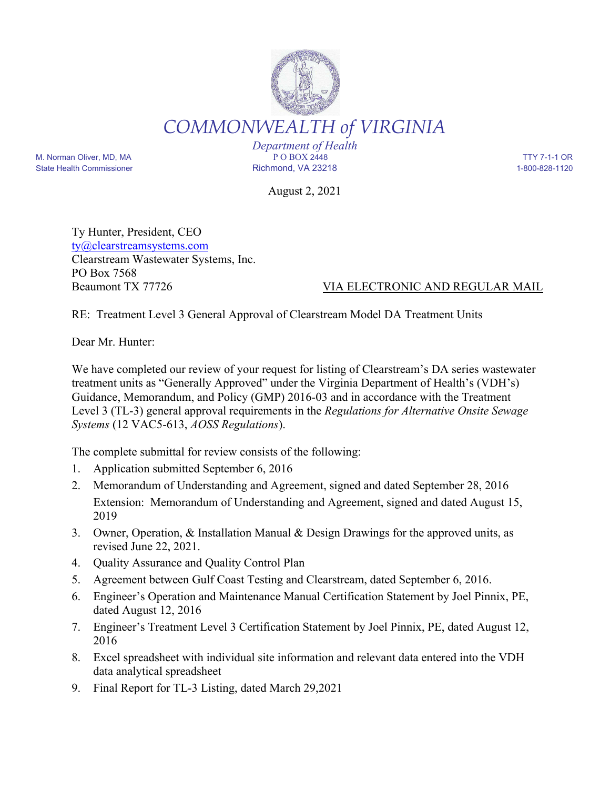

*Department of Health* M. Norman Oliver, MD, MA P O BOX 2448 TTY 7-1-1 OR State Health Commissioner **Richmond, VA 23218** 1-800-828-1120

August 2, 2021

Ty Hunter, President, CEO ty@clearstreamsystems.com Clearstream Wastewater Systems, Inc. PO Box 7568

## Beaumont TX 77726 VIA ELECTRONIC AND REGULAR MAIL

RE: Treatment Level 3 General Approval of Clearstream Model DA Treatment Units

Dear Mr. Hunter:

We have completed our review of your request for listing of Clearstream's DA series wastewater treatment units as "Generally Approved" under the Virginia Department of Health's (VDH's) Guidance, Memorandum, and Policy (GMP) 2016-03 and in accordance with the Treatment Level 3 (TL-3) general approval requirements in the *Regulations for Alternative Onsite Sewage Systems* (12 VAC5-613, *AOSS Regulations*).

The complete submittal for review consists of the following:

- 1. Application submitted September 6, 2016
- 2. Memorandum of Understanding and Agreement, signed and dated September 28, 2016 Extension: Memorandum of Understanding and Agreement, signed and dated August 15, 2019
- 3. Owner, Operation, & Installation Manual & Design Drawings for the approved units, as revised June 22, 2021.
- 4. Quality Assurance and Quality Control Plan
- 5. Agreement between Gulf Coast Testing and Clearstream, dated September 6, 2016.
- 6. Engineer's Operation and Maintenance Manual Certification Statement by Joel Pinnix, PE, dated August 12, 2016
- 7. Engineer's Treatment Level 3 Certification Statement by Joel Pinnix, PE, dated August 12, 2016
- 8. Excel spreadsheet with individual site information and relevant data entered into the VDH data analytical spreadsheet
- 9. Final Report for TL-3 Listing, dated March 29,2021